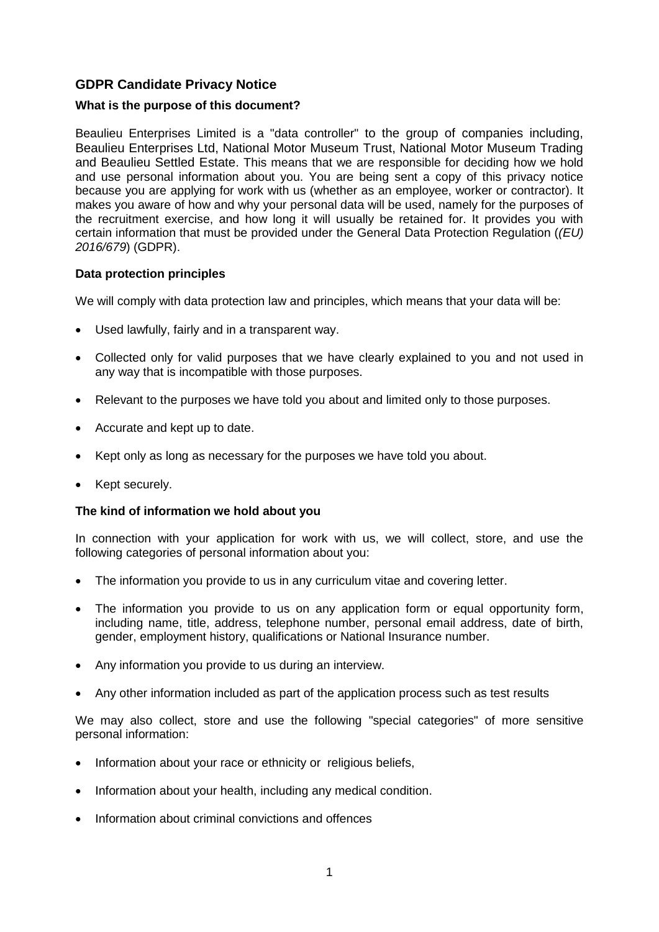# **GDPR Candidate Privacy Notice**

## **What is the purpose of this document?**

Beaulieu Enterprises Limited is a "data controller" to the group of companies including, Beaulieu Enterprises Ltd, National Motor Museum Trust, National Motor Museum Trading and Beaulieu Settled Estate. This means that we are responsible for deciding how we hold and use personal information about you. You are being sent a copy of this privacy notice because you are applying for work with us (whether as an employee, worker or contractor). It makes you aware of how and why your personal data will be used, namely for the purposes of the recruitment exercise, and how long it will usually be retained for. It provides you with certain information that must be provided under the General Data Protection Regulation (*(EU) 2016/679*) (GDPR).

## **Data protection principles**

We will comply with data protection law and principles, which means that your data will be:

- Used lawfully, fairly and in a transparent way.
- Collected only for valid purposes that we have clearly explained to you and not used in any way that is incompatible with those purposes.
- Relevant to the purposes we have told you about and limited only to those purposes.
- Accurate and kept up to date.
- Kept only as long as necessary for the purposes we have told you about.
- Kept securely.

# **The kind of information we hold about you**

In connection with your application for work with us, we will collect, store, and use the following categories of personal information about you:

- The information you provide to us in any curriculum vitae and covering letter.
- The information you provide to us on any application form or equal opportunity form, including name, title, address, telephone number, personal email address, date of birth, gender, employment history, qualifications or National Insurance number.
- Any information you provide to us during an interview.
- Any other information included as part of the application process such as test results

We may also collect, store and use the following "special categories" of more sensitive personal information:

- Information about your race or ethnicity or religious beliefs,
- Information about your health, including any medical condition.
- Information about criminal convictions and offences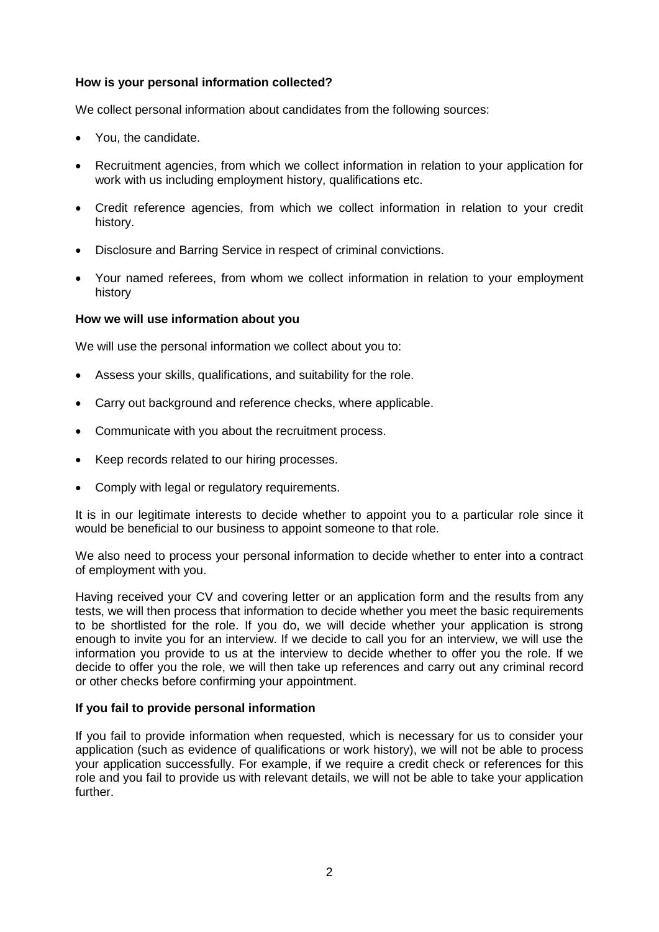## **How is your personal information collected?**

We collect personal information about candidates from the following sources:

- You, the candidate.
- Recruitment agencies, from which we collect information in relation to your application for work with us including employment history, qualifications etc.
- Credit reference agencies, from which we collect information in relation to your credit history.
- Disclosure and Barring Service in respect of criminal convictions.
- Your named referees, from whom we collect information in relation to your employment history

## **How we will use information about you**

We will use the personal information we collect about you to:

- Assess your skills, qualifications, and suitability for the role.
- Carry out background and reference checks, where applicable.
- Communicate with you about the recruitment process.
- Keep records related to our hiring processes.
- Comply with legal or regulatory requirements.

It is in our legitimate interests to decide whether to appoint you to a particular role since it would be beneficial to our business to appoint someone to that role.

We also need to process your personal information to decide whether to enter into a contract of employment with you.

Having received your CV and covering letter or an application form and the results from any tests, we will then process that information to decide whether you meet the basic requirements to be shortlisted for the role. If you do, we will decide whether your application is strong enough to invite you for an interview. If we decide to call you for an interview, we will use the information you provide to us at the interview to decide whether to offer you the role. If we decide to offer you the role, we will then take up references and carry out any criminal record or other checks before confirming your appointment.

## **If you fail to provide personal information**

If you fail to provide information when requested, which is necessary for us to consider your application (such as evidence of qualifications or work history), we will not be able to process your application successfully. For example, if we require a credit check or references for this role and you fail to provide us with relevant details, we will not be able to take your application further.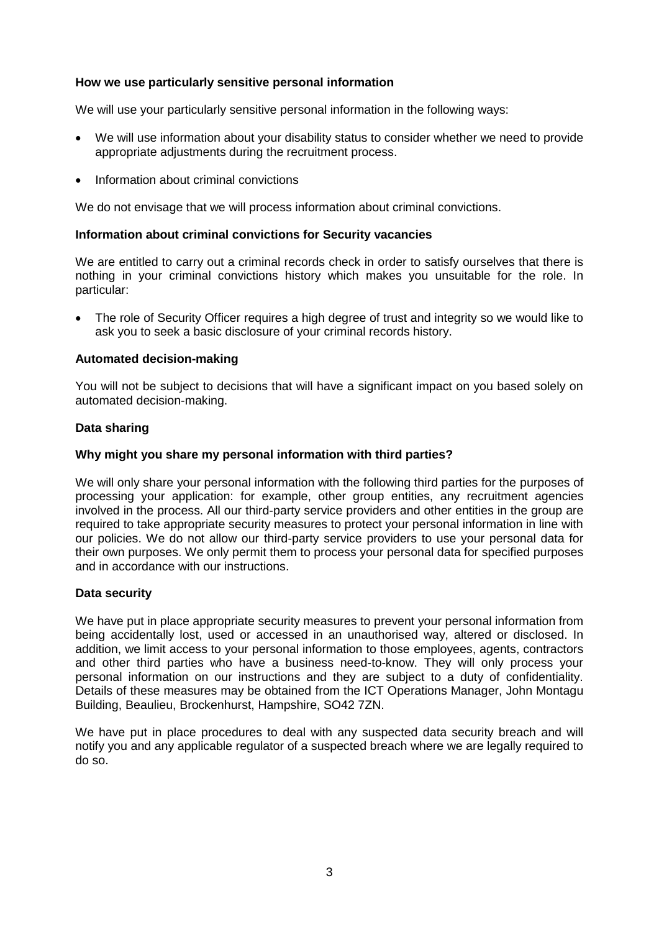## **How we use particularly sensitive personal information**

We will use your particularly sensitive personal information in the following ways:

- We will use information about your disability status to consider whether we need to provide appropriate adjustments during the recruitment process.
- Information about criminal convictions

We do not envisage that we will process information about criminal convictions.

#### **Information about criminal convictions for Security vacancies**

We are entitled to carry out a criminal records check in order to satisfy ourselves that there is nothing in your criminal convictions history which makes you unsuitable for the role. In particular:

• The role of Security Officer requires a high degree of trust and integrity so we would like to ask you to seek a basic disclosure of your criminal records history.

### **Automated decision-making**

You will not be subject to decisions that will have a significant impact on you based solely on automated decision-making.

### **Data sharing**

### **Why might you share my personal information with third parties?**

We will only share your personal information with the following third parties for the purposes of processing your application: for example, other group entities, any recruitment agencies involved in the process. All our third-party service providers and other entities in the group are required to take appropriate security measures to protect your personal information in line with our policies. We do not allow our third-party service providers to use your personal data for their own purposes. We only permit them to process your personal data for specified purposes and in accordance with our instructions.

#### **Data security**

We have put in place appropriate security measures to prevent your personal information from being accidentally lost, used or accessed in an unauthorised way, altered or disclosed. In addition, we limit access to your personal information to those employees, agents, contractors and other third parties who have a business need-to-know. They will only process your personal information on our instructions and they are subject to a duty of confidentiality. Details of these measures may be obtained from the ICT Operations Manager, John Montagu Building, Beaulieu, Brockenhurst, Hampshire, SO42 7ZN.

We have put in place procedures to deal with any suspected data security breach and will notify you and any applicable regulator of a suspected breach where we are legally required to do so.